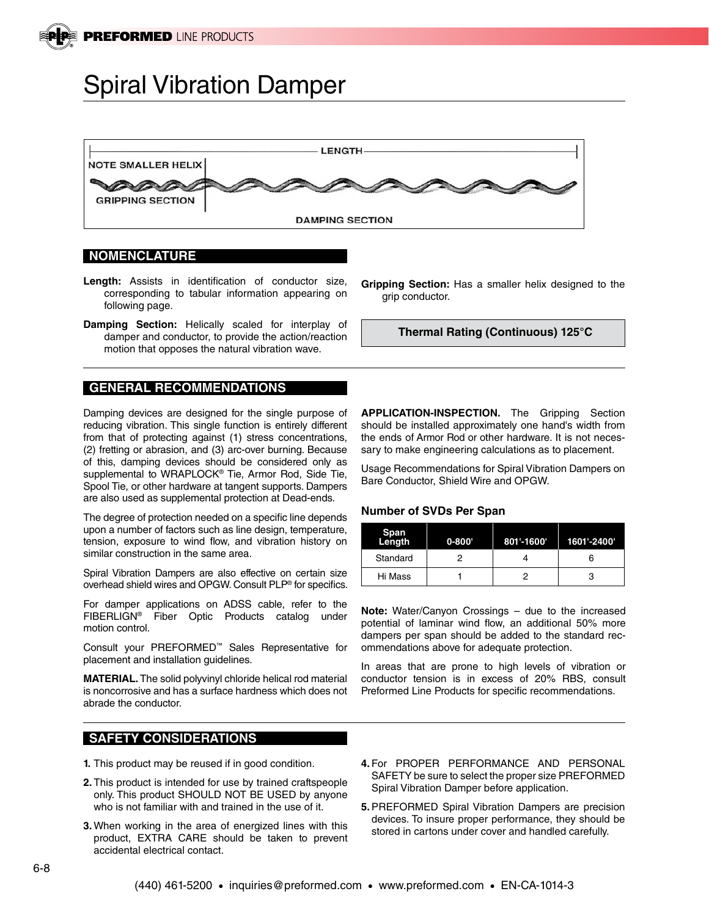

# Spiral Vibration Damper



### **NOMENCLATURE**

- **Length:** Assists in identification of conductor size, corresponding to tabular information appearing on following page.
- **Damping Section:** Helically scaled for interplay of damper and conductor, to provide the action/reaction motion that opposes the natural vibration wave.

### **GENERAL RECOMMENDATIONS**

Damping devices are designed for the single purpose of reducing vibration. This single function is entirely different from that of protecting against (1) stress concentrations, (2) fretting or abrasion, and (3) arc-over burning. Because of this, damping devices should be considered only as supplemental to WRAPLOCK® Tie, Armor Rod, Side Tie, Spool Tie, or other hardware at tangent supports. Dampers are also used as supplemental protection at Dead-ends.

The degree of protection needed on a specific line depends upon a number of factors such as line design, temperature, tension, exposure to wind flow, and vibration history on similar construction in the same area.

Spiral Vibration Dampers are also effective on certain size overhead shield wires and OPGW. Consult PLP® for specifics.

For damper applications on ADSS cable, refer to the FIBERLIGN® Fiber Optic Products catalog under motion control.

Consult your PREFORMED™ Sales Representative for placement and installation guidelines.

**MATERIAL.** The solid polyvinyl chloride helical rod material is noncorrosive and has a surface hardness which does not abrade the conductor.

## **SAFETY CONSIDERATIONS**

- **1.** This product may be reused if in good condition.
- **2.** This product is intended for use by trained craftspeople only. This product SHOULD NOT BE USED by anyone who is not familiar with and trained in the use of it.
- **3.** When working in the area of energized lines with this product, EXTRA CARE should be taken to prevent accidental electrical contact.

**Gripping Section:** Has a smaller helix designed to the grip conductor.

**Thermal Rating (Continuous) 125°C**

**APPLICATION-INSPECTION.** The Gripping Section should be installed approximately one hand's width from the ends of Armor Rod or other hardware. It is not necessary to make engineering calculations as to placement.

Usage Recommendations for Spiral Vibration Dampers on Bare Conductor, Shield Wire and OPGW.

#### **Number of SVDs Per Span**

| Span<br>Length | $0 - 800'$ | 801'-1600' | 1601'-2400' |
|----------------|------------|------------|-------------|
| Standard       |            |            | 6           |
| Hi Mass        |            |            |             |

**Note:** Water/Canyon Crossings – due to the increased potential of laminar wind flow, an additional 50% more dampers per span should be added to the standard recommendations above for adequate protection.

In areas that are prone to high levels of vibration or conductor tension is in excess of 20% RBS, consult Preformed Line Products for specific recommendations.

- **4.** For PROPER PERFORMANCE AND PERSONAL SAFETY be sure to select the proper size PREFORMED Spiral Vibration Damper before application.
- **5.**PREFORMED Spiral Vibration Dampers are precision devices. To insure proper performance, they should be stored in cartons under cover and handled carefully.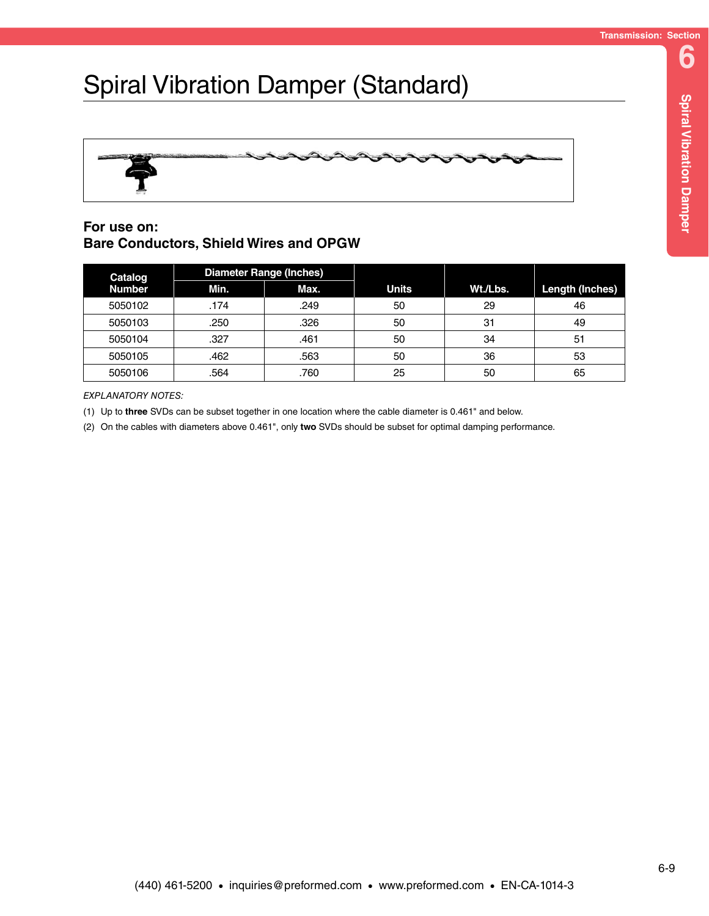# Spiral Vibration Damper (Standard)



# **For use on: Bare Conductors, Shield Wires and OPGW**

| Catalog<br><b>Number</b> | <b>Diameter Range (Inches)</b> |      |              |          |                        |
|--------------------------|--------------------------------|------|--------------|----------|------------------------|
|                          | Min.                           | Max. | <b>Units</b> | Wt./Lbs. | <b>Length (Inches)</b> |
| 5050102                  | .174                           | .249 | 50           | 29       | 46                     |
| 5050103                  | .250                           | .326 | 50           | 31       | 49                     |
| 5050104                  | .327                           | .461 | 50           | 34       | 51                     |
| 5050105                  | .462                           | .563 | 50           | 36       | 53                     |
| 5050106                  | .564                           | .760 | 25           | 50       | 65                     |

*EXPLANATORY NOTES:*

(1) Up to **three** SVDs can be subset together in one location where the cable diameter is 0.461" and below.

(2) On the cables with diameters above 0.461", only **two** SVDs should be subset for optimal damping performance.

**6**